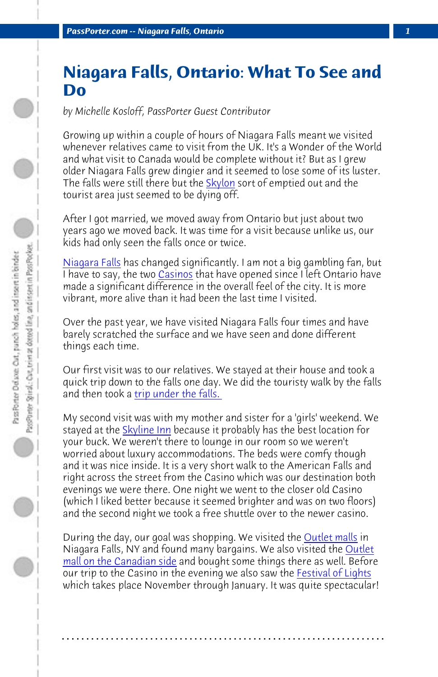*PassPorter.com -- Niagara Falls, Ontario 1*

## **[Niagara](http://www.niagarafallstourism.com/) Fal[ls, On](http://casinoniagara.com/)tario: What To See and Do**

*by Michelle Kosloff, PassPorter Guest Contributor*

Growing up within a couple of hours of Niagara Falls meant we visited whenever relatives came to visit from the UK. It's a Wonder of the World and what visit to Canada would be complete without it? But as I grew older Niagara Falls grew dingier and it seemed to lose some of its luster. The falls were still there but the **Skylon** sort of emptied out and the tourist area just [seemed to be dying](http://www.niagaraparks.com/nfgg/behindthefalls.php) off.

After I got married, we moved away from Ontario but just about two years ago we [moved back](http://www.niagarafallshotels.com/skyline/index.php). It was time for a visit because unlike us, our kids had only seen the falls once or twice.

Niagara Falls has changed significantly. I am not a big gambling fan, but I have to say, the two Casinos that have opened since I left Ontario have made a significant difference in the overall feel of the city. It is more vibrant, more alive than it had been the last time I visited.

Over the past year, we have visited Niagara Falls four times and have barely scratched the surface and we have seen and do[ne different](http://www.fashionoutletsniagara.com/) things each time.

[Our first visit was to our r](http://www.canadaoneoutlets.com/Stores/)elatives. We stayed at thei[r house and took a](http://www.wfol.com/lights.php) quick trip down to the falls one day. We did the touristy walk by the falls and then took a *trip under the falls.* 

My second visit was with my mother and sister for a 'girls' weekend. We stayed at the Skyline Inn because it probably has the best location for your buck. We weren't there to lounge in our room so we weren't worried about luxury accommodations. The beds were comfy though and it was nice inside. It is a very short walk to the American Falls and right across the street from the Casino which was our destination both evenings we were there. One night we went to the closer old Casino (which I liked better because it seemed brighter and was on two floors) and the second night we took a free shuttle over to the newer casino.

During the day, our goal was shopping. We visited the **Outlet malls** in Niagara Falls, NY and found many bargains. We also visited the Outlet <u>mall on the Canadian side</u> and bought some things there as well. Before our trip to the Casino in the evening we also saw the **Festival of Lights** which takes place November through January. It was quite spectacular!

**. . . . . . . . . . . . . . . . . . . . . . . . . . . . . . . . . . . . . . . . . . . . . . . . . . . . . . . . . . . . . . . . . .**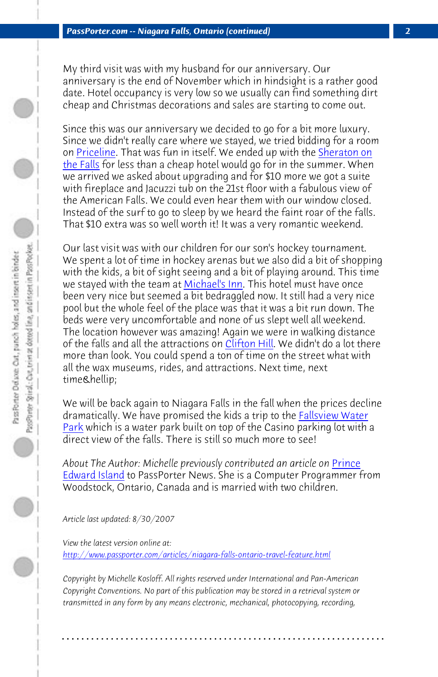My third visit was with my husband for our anniversary. Our anniversary is the end of N[ovember whic](http://www.michaelsinn.com/)h in hindsight is a rather good date. Hotel occupancy is very low so we usually can find something dirt cheap and Christmas decorations and sales are starting to come out.

Since this was our anniversary we decided to go for a bit more luxury. Since we didn't really care where we [stayed, we](http://www.cliftonhill.com/) tried bidding for a room on Priceline. That was fun in itself. We ended up with the Sheraton on the Falls for less than a cheap hotel would go for in the summer. When we arrived we asked about upgrading and for \$10 more we got a suite with fireplace and Jacuzzi tub on the 21st floor with a fabulous view of the American Falls. We could even hear them with our window closed. Instead of the surf to go to sleep by we heard the fai[nt roar of the fall](http://www.fallsviewwaterpark.com/)s. [That](http://www.fallsviewwaterpark.com/) \$10 extra was so well worth it! It was a very romantic weekend.

Our last visit was with our children for our son's hockey tournament. We spent a lot of time in hockey arenas but we also did a bit [of shop](http://www.passporter.com/news/news121305.htm#travel)ping [with the kids,](http://www.passporter.com/news/news121305.htm#travel) a bit of sight seeing and a bit of playing around. This time we stayed with the team at Michael's Inn. This hotel must have once been very nice but seemed a bit bedraggled now. It still had a very nice pool but the whole feel of the place was that it was a bit run down. The beds were very uncomfortable and none of us slept well all weekend. The location however was amazing! Again we were in walking distance of the falls and all the attractions on Clifton Hill. We didn't do a lot there [more than look. You could spend a ton of time on the street w](http://www.passporter.com/articles/niagara-falls-ontario-travel-feature.php)hat with all the wax museums, rides, and attractions. Next time, next time…

We will be back again to Niagara Falls in the fall when the prices decline dramatically. We have promised the kids a trip to the **Fallsview Water** Park which is a water park built on top of the Casino parking lot with a direct view of the falls. There is still so much more to see!

About The Author: Michelle previously contributed an article on **Prince** Edward Island to PassPorter News. She is a Computer Programmer from Woodstock, Ontario, Canada and is married with two children.

*Article last updated: 8/30/2007*

*View the latest version online at: http://www.passporter.com/articles/niagara-falls-ontario-travel-feature.html*

*Copyright by Michelle Kosloff. All rights reserved under International and Pan-American Copyright Conventions. No part of this publication may be stored in a retrieval system or transmitted in any form by any means electronic, mechanical, photocopying, recording,*

**. . . . . . . . . . . . . . . . . . . . . . . . . . . . . . . . . . . . . . . . . . . . . . . . . . . . . . . . . . . . . . . . . .**